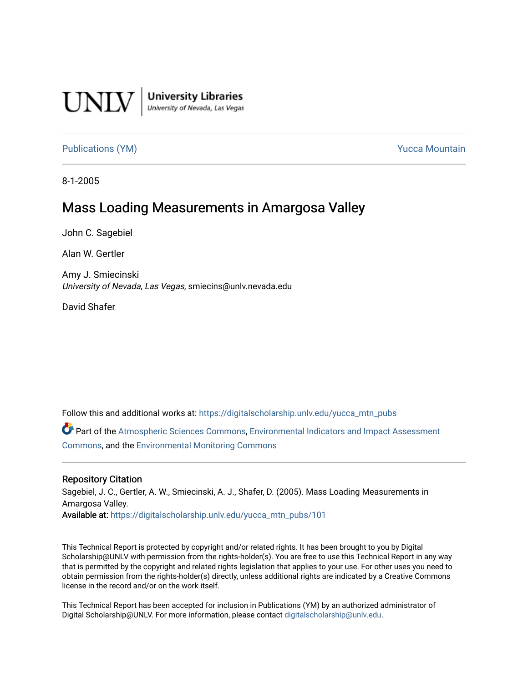

**University Libraries**<br>University of Nevada, Las Vegas

[Publications \(YM\)](https://digitalscholarship.unlv.edu/yucca_mtn_pubs) **Publications** (YM) **Publications** (YM)

8-1-2005

# Mass Loading Measurements in Amargosa Valley

John C. Sagebiel

Alan W. Gertler

Amy J. Smiecinski University of Nevada, Las Vegas, smiecins@unlv.nevada.edu

David Shafer

Follow this and additional works at: [https://digitalscholarship.unlv.edu/yucca\\_mtn\\_pubs](https://digitalscholarship.unlv.edu/yucca_mtn_pubs?utm_source=digitalscholarship.unlv.edu%2Fyucca_mtn_pubs%2F101&utm_medium=PDF&utm_campaign=PDFCoverPages)

Part of the [Atmospheric Sciences Commons](http://network.bepress.com/hgg/discipline/187?utm_source=digitalscholarship.unlv.edu%2Fyucca_mtn_pubs%2F101&utm_medium=PDF&utm_campaign=PDFCoverPages), [Environmental Indicators and Impact Assessment](http://network.bepress.com/hgg/discipline/1015?utm_source=digitalscholarship.unlv.edu%2Fyucca_mtn_pubs%2F101&utm_medium=PDF&utm_campaign=PDFCoverPages)  [Commons](http://network.bepress.com/hgg/discipline/1015?utm_source=digitalscholarship.unlv.edu%2Fyucca_mtn_pubs%2F101&utm_medium=PDF&utm_campaign=PDFCoverPages), and the [Environmental Monitoring Commons](http://network.bepress.com/hgg/discipline/931?utm_source=digitalscholarship.unlv.edu%2Fyucca_mtn_pubs%2F101&utm_medium=PDF&utm_campaign=PDFCoverPages)

#### Repository Citation

Sagebiel, J. C., Gertler, A. W., Smiecinski, A. J., Shafer, D. (2005). Mass Loading Measurements in Amargosa Valley. Available at: [https://digitalscholarship.unlv.edu/yucca\\_mtn\\_pubs/101](https://digitalscholarship.unlv.edu/yucca_mtn_pubs/101) 

This Technical Report is protected by copyright and/or related rights. It has been brought to you by Digital Scholarship@UNLV with permission from the rights-holder(s). You are free to use this Technical Report in any way that is permitted by the copyright and related rights legislation that applies to your use. For other uses you need to obtain permission from the rights-holder(s) directly, unless additional rights are indicated by a Creative Commons license in the record and/or on the work itself.

This Technical Report has been accepted for inclusion in Publications (YM) by an authorized administrator of Digital Scholarship@UNLV. For more information, please contact [digitalscholarship@unlv.edu](mailto:digitalscholarship@unlv.edu).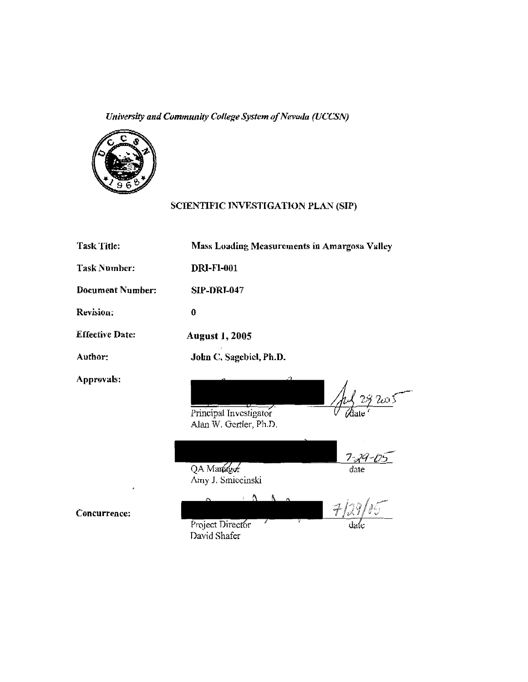*University and Community College System of Nevada (UCCSN)* 



# SCIENTIFIC INVESTIGATION PLAN (SIP)

| Task Title:             | Mass Loading Measurements in Amargosa Valley                               |
|-------------------------|----------------------------------------------------------------------------|
| <b>Task Number:</b>     | <b>DRI-F1-001</b>                                                          |
| <b>Document Number:</b> | <b>SIP-DRI-047</b>                                                         |
| Revision:               | 0                                                                          |
| <b>Effective Date:</b>  | <b>August 1, 2005</b>                                                      |
| Author:                 | John C. Sagebiel, Ph.D.                                                    |
| Approvals:              | 29 Zur S<br>Principal Investigator<br>Alan W. Gertler, Ph.D.               |
| ٠                       | $7 - 29 -$<br>QA Manager<br>date<br>Amy J. Smiecinski                      |
|                         | $\cdot$ $\Lambda$<br>$\sim$ $\sim$<br>مسی / <i>ا</i> ا<br>$\boldsymbol{r}$ |

Concurrence:

Project Director David Shafer

date

 $\tilde{z}$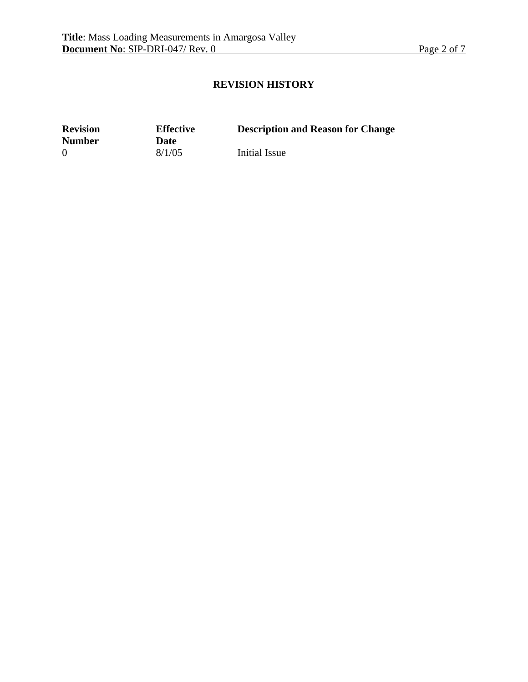## **REVISION HISTORY**

**Revision Number** 

**Effective Date** 8/1/05

**Description and Reason for Change** 

0 8/1/05 Initial Issue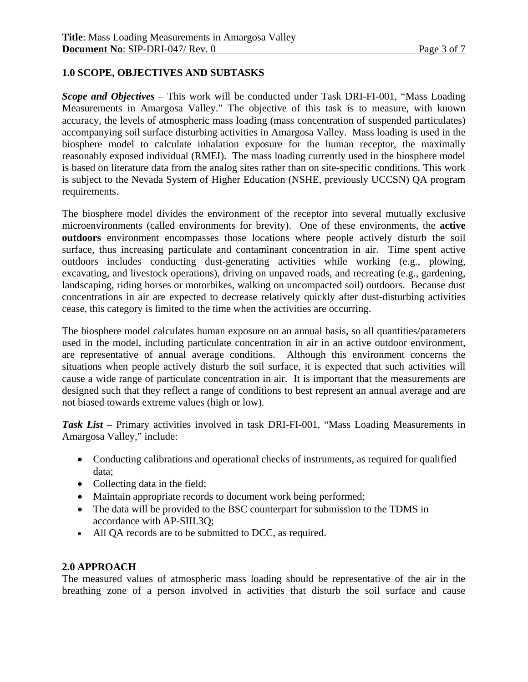## **1.0 SCOPE, OBJECTIVES AND SUBTASKS**

*Scope and Objectives* – This work will be conducted under Task DRI-FI-001, "Mass Loading Measurements in Amargosa Valley." The objective of this task is to measure, with known accuracy, the levels of atmospheric mass loading (mass concentration of suspended particulates) accompanying soil surface disturbing activities in Amargosa Valley. Mass loading is used in the biosphere model to calculate inhalation exposure for the human receptor, the maximally reasonably exposed individual (RMEI). The mass loading currently used in the biosphere model is based on literature data from the analog sites rather than on site-specific conditions. This work is subject to the Nevada System of Higher Education (NSHE, previously UCCSN) QA program requirements.

The biosphere model divides the environment of the receptor into several mutually exclusive microenvironments (called environments for brevity). One of these environments, the **active outdoors** environment encompasses those locations where people actively disturb the soil surface, thus increasing particulate and contaminant concentration in air. Time spent active outdoors includes conducting dust-generating activities while working (e.g., plowing, excavating, and livestock operations), driving on unpaved roads, and recreating (e.g., gardening, landscaping, riding horses or motorbikes, walking on uncompacted soil) outdoors. Because dust concentrations in air are expected to decrease relatively quickly after dust-disturbing activities cease, this category is limited to the time when the activities are occurring.

The biosphere model calculates human exposure on an annual basis, so all quantities/parameters used in the model, including particulate concentration in air in an active outdoor environment, are representative of annual average conditions. Although this environment concerns the situations when people actively disturb the soil surface, it is expected that such activities will cause a wide range of particulate concentration in air. It is important that the measurements are designed such that they reflect a range of conditions to best represent an annual average and are not biased towards extreme values (high or low).

*Task List* – Primary activities involved in task DRI-FI-001, "Mass Loading Measurements in Amargosa Valley," include:

- Conducting calibrations and operational checks of instruments, as required for qualified data;
- Collecting data in the field;
- Maintain appropriate records to document work being performed;
- The data will be provided to the BSC counterpart for submission to the TDMS in accordance with AP-SIII.3Q;
- All QA records are to be submitted to DCC, as required.

### **2.0 APPROACH**

The measured values of atmospheric mass loading should be representative of the air in the breathing zone of a person involved in activities that disturb the soil surface and cause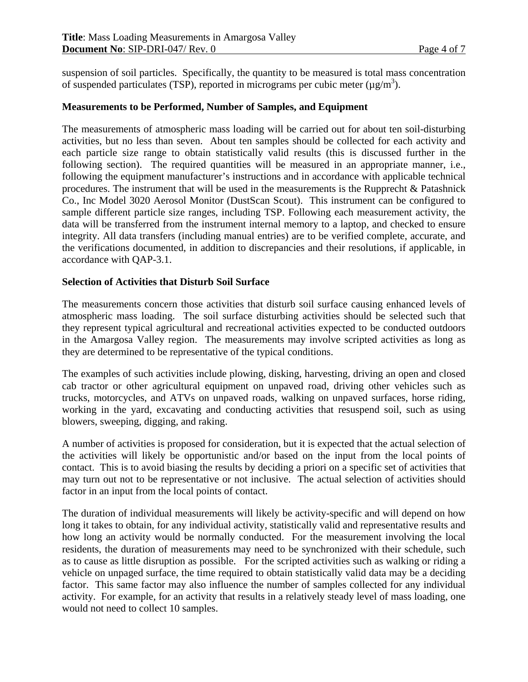suspension of soil particles. Specifically, the quantity to be measured is total mass concentration of suspended particulates (TSP), reported in micrograms per cubic meter  $(\mu g/m^3)$ .

### **Measurements to be Performed, Number of Samples, and Equipment**

The measurements of atmospheric mass loading will be carried out for about ten soil-disturbing activities, but no less than seven. About ten samples should be collected for each activity and each particle size range to obtain statistically valid results (this is discussed further in the following section). The required quantities will be measured in an appropriate manner, i.e., following the equipment manufacturer's instructions and in accordance with applicable technical procedures. The instrument that will be used in the measurements is the Rupprecht & Patashnick Co., Inc Model 3020 Aerosol Monitor (DustScan Scout). This instrument can be configured to sample different particle size ranges, including TSP. Following each measurement activity, the data will be transferred from the instrument internal memory to a laptop, and checked to ensure integrity. All data transfers (including manual entries) are to be verified complete, accurate, and the verifications documented, in addition to discrepancies and their resolutions, if applicable, in accordance with QAP-3.1.

#### **Selection of Activities that Disturb Soil Surface**

The measurements concern those activities that disturb soil surface causing enhanced levels of atmospheric mass loading. The soil surface disturbing activities should be selected such that they represent typical agricultural and recreational activities expected to be conducted outdoors in the Amargosa Valley region. The measurements may involve scripted activities as long as they are determined to be representative of the typical conditions.

The examples of such activities include plowing, disking, harvesting, driving an open and closed cab tractor or other agricultural equipment on unpaved road, driving other vehicles such as trucks, motorcycles, and ATVs on unpaved roads, walking on unpaved surfaces, horse riding, working in the yard, excavating and conducting activities that resuspend soil, such as using blowers, sweeping, digging, and raking.

A number of activities is proposed for consideration, but it is expected that the actual selection of the activities will likely be opportunistic and/or based on the input from the local points of contact. This is to avoid biasing the results by deciding a priori on a specific set of activities that may turn out not to be representative or not inclusive. The actual selection of activities should factor in an input from the local points of contact.

The duration of individual measurements will likely be activity-specific and will depend on how long it takes to obtain, for any individual activity, statistically valid and representative results and how long an activity would be normally conducted. For the measurement involving the local residents, the duration of measurements may need to be synchronized with their schedule, such as to cause as little disruption as possible. For the scripted activities such as walking or riding a vehicle on unpaged surface, the time required to obtain statistically valid data may be a deciding factor. This same factor may also influence the number of samples collected for any individual activity. For example, for an activity that results in a relatively steady level of mass loading, one would not need to collect 10 samples.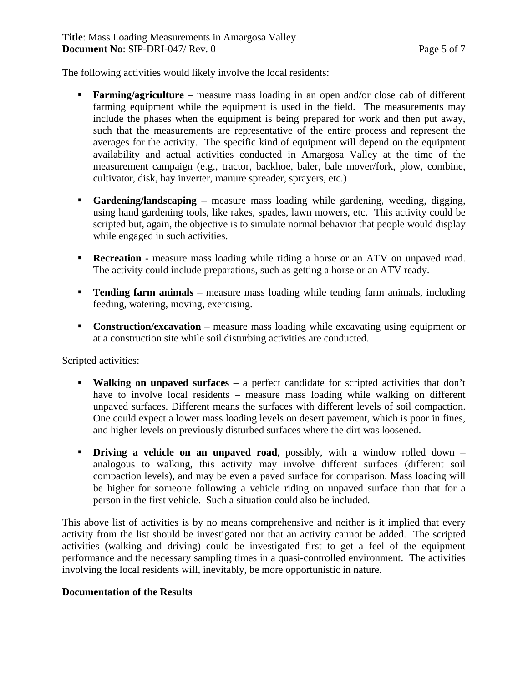The following activities would likely involve the local residents:

- **Farming/agriculture** measure mass loading in an open and/or close cab of different farming equipment while the equipment is used in the field. The measurements may include the phases when the equipment is being prepared for work and then put away, such that the measurements are representative of the entire process and represent the averages for the activity. The specific kind of equipment will depend on the equipment availability and actual activities conducted in Amargosa Valley at the time of the measurement campaign (e.g., tractor, backhoe, baler, bale mover/fork, plow, combine, cultivator, disk, hay inverter, manure spreader, sprayers, etc.)
- **Gardening/landscaping** measure mass loading while gardening, weeding, digging, using hand gardening tools, like rakes, spades, lawn mowers, etc. This activity could be scripted but, again, the objective is to simulate normal behavior that people would display while engaged in such activities.
- **Recreation -** measure mass loading while riding a horse or an ATV on unpaved road. The activity could include preparations, such as getting a horse or an ATV ready.
- **Tending farm animals** measure mass loading while tending farm animals, including feeding, watering, moving, exercising.
- **Construction/excavation** measure mass loading while excavating using equipment or at a construction site while soil disturbing activities are conducted.

Scripted activities:

- **Walking on unpaved surfaces** a perfect candidate for scripted activities that don't have to involve local residents – measure mass loading while walking on different unpaved surfaces. Different means the surfaces with different levels of soil compaction. One could expect a lower mass loading levels on desert pavement, which is poor in fines, and higher levels on previously disturbed surfaces where the dirt was loosened.
- **Driving a vehicle on an unpaved road**, possibly, with a window rolled down analogous to walking, this activity may involve different surfaces (different soil compaction levels), and may be even a paved surface for comparison. Mass loading will be higher for someone following a vehicle riding on unpaved surface than that for a person in the first vehicle. Such a situation could also be included.

This above list of activities is by no means comprehensive and neither is it implied that every activity from the list should be investigated nor that an activity cannot be added. The scripted activities (walking and driving) could be investigated first to get a feel of the equipment performance and the necessary sampling times in a quasi-controlled environment. The activities involving the local residents will, inevitably, be more opportunistic in nature.

## **Documentation of the Results**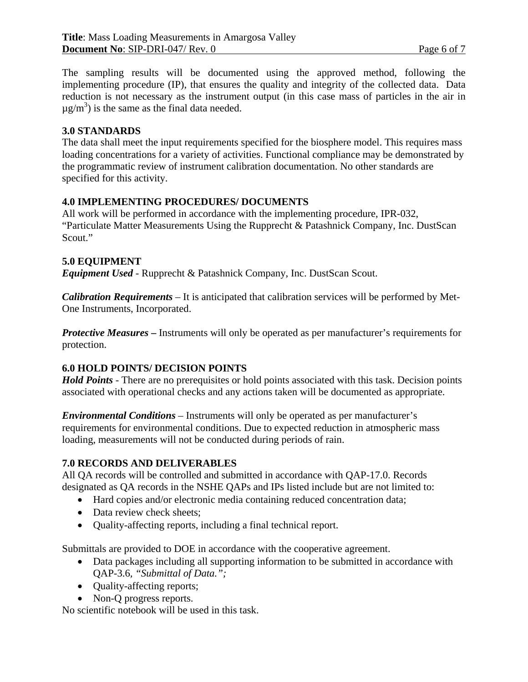The sampling results will be documented using the approved method, following the implementing procedure (IP), that ensures the quality and integrity of the collected data. Data reduction is not necessary as the instrument output (in this case mass of particles in the air in  $\mu$ g/m<sup>3</sup>) is the same as the final data needed.

### **3.0 STANDARDS**

The data shall meet the input requirements specified for the biosphere model. This requires mass loading concentrations for a variety of activities. Functional compliance may be demonstrated by the programmatic review of instrument calibration documentation. No other standards are specified for this activity.

### **4.0 IMPLEMENTING PROCEDURES/ DOCUMENTS**

All work will be performed in accordance with the implementing procedure, IPR-032, "Particulate Matter Measurements Using the Rupprecht & Patashnick Company, Inc. DustScan Scout."

### **5.0 EQUIPMENT**

*Equipment Used* - Rupprecht & Patashnick Company, Inc. DustScan Scout.

*Calibration Requirements* – It is anticipated that calibration services will be performed by Met-One Instruments, Incorporated.

*Protective Measures* – Instruments will only be operated as per manufacturer's requirements for protection.

### **6.0 HOLD POINTS/ DECISION POINTS**

*Hold Points* - There are no prerequisites or hold points associated with this task. Decision points associated with operational checks and any actions taken will be documented as appropriate.

*Environmental Conditions* – Instruments will only be operated as per manufacturer's requirements for environmental conditions. Due to expected reduction in atmospheric mass loading, measurements will not be conducted during periods of rain.

#### **7.0 RECORDS AND DELIVERABLES**

All QA records will be controlled and submitted in accordance with QAP-17.0. Records designated as QA records in the NSHE QAPs and IPs listed include but are not limited to:

- Hard copies and/or electronic media containing reduced concentration data;
- Data review check sheets;
- Quality-affecting reports, including a final technical report.

Submittals are provided to DOE in accordance with the cooperative agreement.

- Data packages including all supporting information to be submitted in accordance with QAP-3.6*, "Submittal of Data.";*
- Ouality-affecting reports;
- Non-Q progress reports.

No scientific notebook will be used in this task.